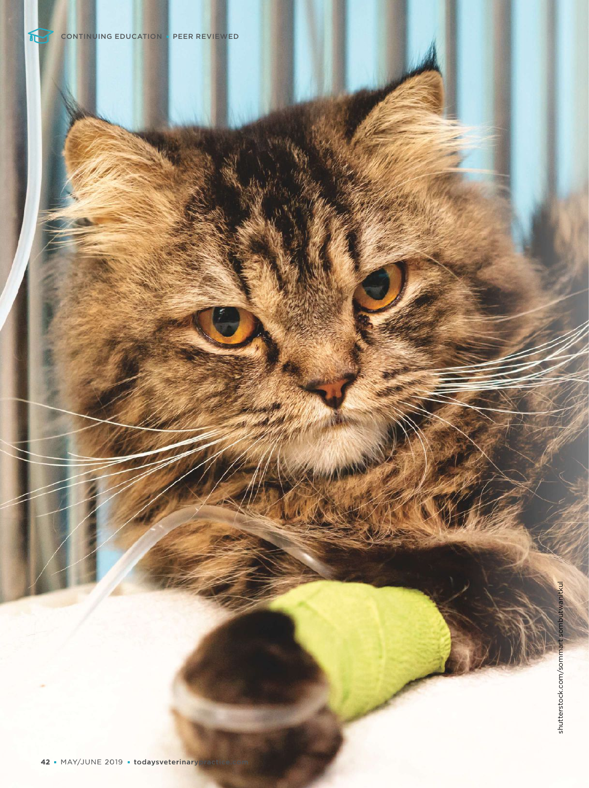**CONSTRUCTION**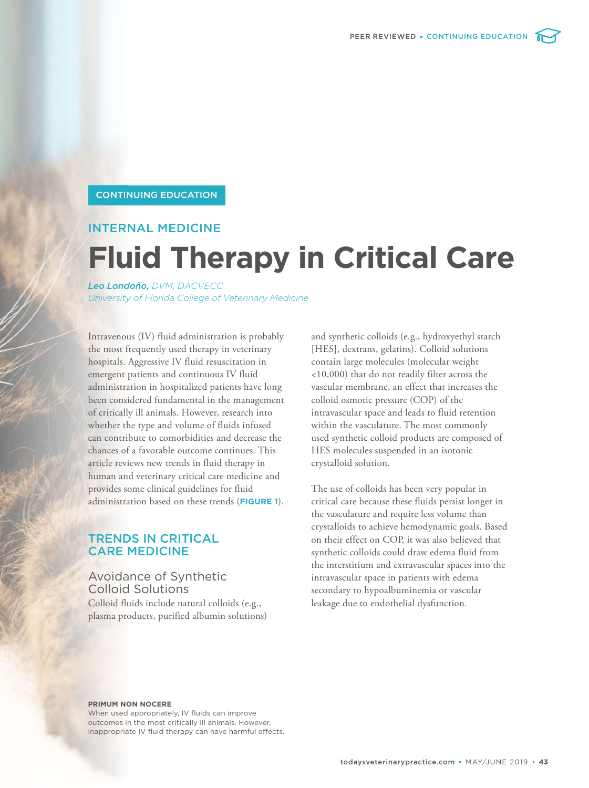#### CONTINUING EDUCATION

# INTERNAL MEDICINE

# **Fluid Therapy in Critical Care**

*Leo Londoño, DVM, DACVECC University of Florida College of Veterinary Medicine* 

Intravenous (IV) fluid administration is probably the most frequently used therapy in veterinary hospitals. Aggressive IV fluid resuscitation in emergent patients and continuous IV fluid administration in hospitalized patients have long been considered fundamental in the management of critically ill animals. However, research into whether the type and volume of fluids infused can contribute to comorbidities and decrease the chances of a favorable outcome continues. This article reviews new trends in fluid therapy in human and veterinary critical care medicine and provides some clinical guidelines for fluid administration based on these trends (**FIGURE 1**).

# TRENDS IN CRITICAL CARE MEDICINE

Avoidance of Synthetic Colloid Solutions Colloid fluids include natural colloids (e.g., plasma products, purified albumin solutions)

and synthetic colloids (e.g., hydroxyethyl starch [HES], dextrans, gelatins). Colloid solutions contain large molecules (molecular weight <10,000) that do not readily filter across the vascular membrane, an effect that increases the colloid osmotic pressure (COP) of the intravascular space and leads to fluid retention within the vasculature. The most commonly used synthetic colloid products are composed of HES molecules suspended in an isotonic crystalloid solution.

The use of colloids has been very popular in critical care because these fluids persist longer in the vasculature and require less volume than crystalloids to achieve hemodynamic goals. Based on their effect on COP, it was also believed that synthetic colloids could draw edema fluid from the interstitium and extravascular spaces into the intravascular space in patients with edema secondary to hypoalbuminemia or vascular leakage due to endothelial dysfunction.

#### **PRIMUM NON NOCERE**

When used appropriately, IV fluids can improve outcomes in the most critically ill animals. However, inappropriate IV fluid therapy can have harmful effects.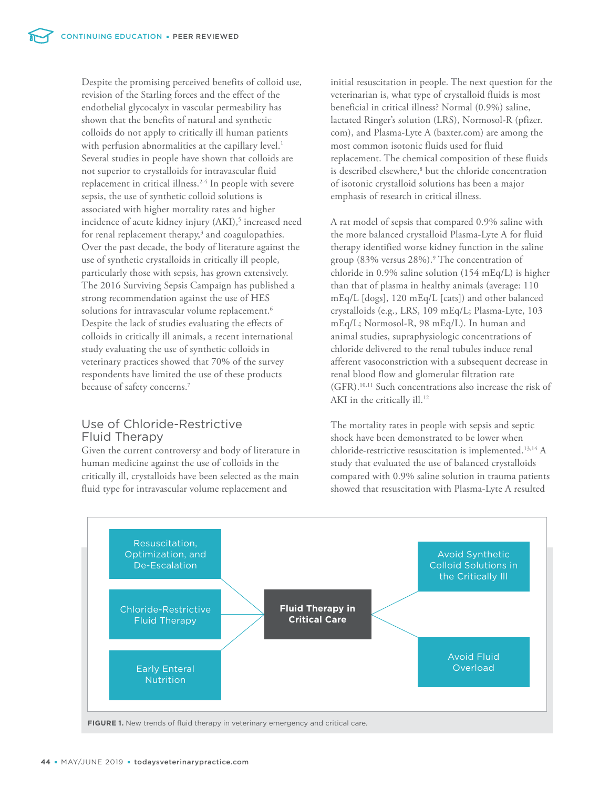Despite the promising perceived benefits of colloid use, revision of the Starling forces and the effect of the endothelial glycocalyx in vascular permeability has shown that the benefits of natural and synthetic colloids do not apply to critically ill human patients with perfusion abnormalities at the capillary level.<sup>1</sup> Several studies in people have shown that colloids are not superior to crystalloids for intravascular fluid replacement in critical illness.<sup>2-4</sup> In people with severe sepsis, the use of synthetic colloid solutions is associated with higher mortality rates and higher incidence of acute kidney injury (AKI),<sup>5</sup> increased need for renal replacement therapy,<sup>3</sup> and coagulopathies. Over the past decade, the body of literature against the use of synthetic crystalloids in critically ill people, particularly those with sepsis, has grown extensively. The 2016 Surviving Sepsis Campaign has published a strong recommendation against the use of HES solutions for intravascular volume replacement.<sup>6</sup> Despite the lack of studies evaluating the effects of colloids in critically ill animals, a recent international study evaluating the use of synthetic colloids in veterinary practices showed that 70% of the survey respondents have limited the use of these products because of safety concerns.<sup>7</sup>

# Use of Chloride-Restrictive Fluid Therapy

Given the current controversy and body of literature in human medicine against the use of colloids in the critically ill, crystalloids have been selected as the main fluid type for intravascular volume replacement and

initial resuscitation in people. The next question for the veterinarian is, what type of crystalloid fluids is most beneficial in critical illness? Normal (0.9%) saline, lactated Ringer's solution (LRS), Normosol-R (pfizer. com), and Plasma-Lyte A [\(baxter.com\)](http://baxter.com) are among the most common isotonic fluids used for fluid replacement. The chemical composition of these fluids is described elsewhere,<sup>8</sup> but the chloride concentration of isotonic crystalloid solutions has been a major emphasis of research in critical illness.

A rat model of sepsis that compared 0.9% saline with the more balanced crystalloid Plasma-Lyte A for fluid therapy identified worse kidney function in the saline group (83% versus 28%).<sup>9</sup> The concentration of chloride in 0.9% saline solution (154 mEq/L) is higher than that of plasma in healthy animals (average: 110 mEq/L [dogs], 120 mEq/L [cats]) and other balanced crystalloids (e.g., LRS, 109 mEq/L; Plasma-Lyte, 103 mEq/L; Normosol-R, 98 mEq/L). In human and animal studies, supraphysiologic concentrations of chloride delivered to the renal tubules induce renal afferent vasoconstriction with a subsequent decrease in renal blood flow and glomerular filtration rate (GFR).10,11 Such concentrations also increase the risk of AKI in the critically ill.<sup>12</sup>

The mortality rates in people with sepsis and septic shock have been demonstrated to be lower when chloride-restrictive resuscitation is implemented.13,14 A study that evaluated the use of balanced crystalloids compared with 0.9% saline solution in trauma patients showed that resuscitation with Plasma-Lyte A resulted



**FIGURE 1.** New trends of fluid therapy in veterinary emergency and critical care.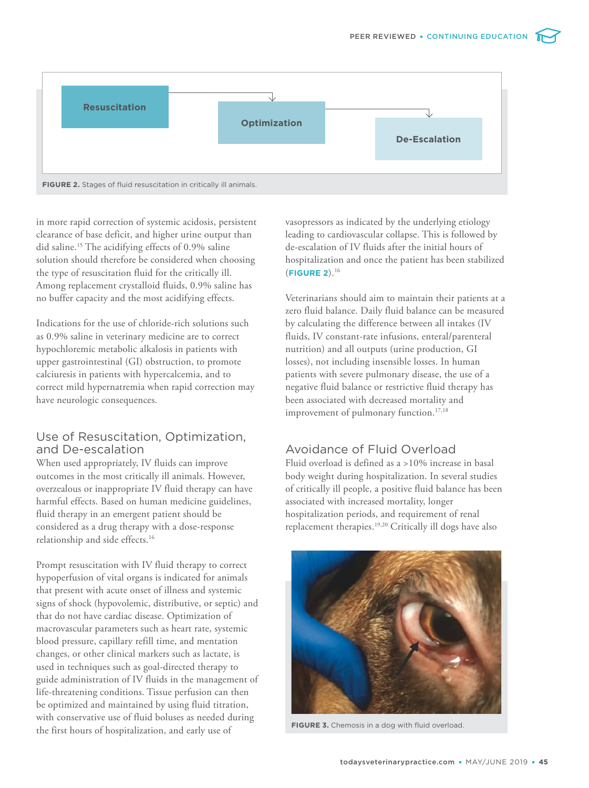

in more rapid correction of systemic acidosis, persistent clearance of base deficit, and higher urine output than did saline.<sup>15</sup> The acidifying effects of 0.9% saline solution should therefore be considered when choosing the type of resuscitation fluid for the critically ill. Among replacement crystalloid fluids, 0.9% saline has no buffer capacity and the most acidifying effects.

Indications for the use of chloride-rich solutions such as 0.9% saline in veterinary medicine are to correct hypochloremic metabolic alkalosis in patients with upper gastrointestinal (GI) obstruction, to promote calciuresis in patients with hypercalcemia, and to correct mild hypernatremia when rapid correction may have neurologic consequences.

# Use of Resuscitation, Optimization, and De-escalation

When used appropriately, IV fluids can improve outcomes in the most critically ill animals. However, overzealous or inappropriate IV fluid therapy can have harmful effects. Based on human medicine guidelines, fluid therapy in an emergent patient should be considered as a drug therapy with a dose-response relationship and side effects.<sup>16</sup>

Prompt resuscitation with IV fluid therapy to correct hypoperfusion of vital organs is indicated for animals that present with acute onset of illness and systemic signs of shock (hypovolemic, distributive, or septic) and that do not have cardiac disease. Optimization of macrovascular parameters such as heart rate, systemic blood pressure, capillary refill time, and mentation changes, or other clinical markers such as lactate, is used in techniques such as goal-directed therapy to guide administration of IV fluids in the management of life-threatening conditions. Tissue perfusion can then be optimized and maintained by using fluid titration, with conservative use of fluid boluses as needed during the first hours of hospitalization, and early use of

vasopressors as indicated by the underlying etiology leading to cardiovascular collapse. This is followed by de-escalation of IV fluids after the initial hours of hospitalization and once the patient has been stabilized (**FIGURE 2**).<sup>16</sup>

Veterinarians should aim to maintain their patients at a zero fluid balance. Daily fluid balance can be measured by calculating the difference between all intakes (IV fluids, IV constant-rate infusions, enteral/parenteral nutrition) and all outputs (urine production, GI losses), not including insensible losses. In human patients with severe pulmonary disease, the use of a negative fluid balance or restrictive fluid therapy has been associated with decreased mortality and improvement of pulmonary function.<sup>17,18</sup>

# Avoidance of Fluid Overload

Fluid overload is defined as a >10% increase in basal body weight during hospitalization. In several studies of critically ill people, a positive fluid balance has been associated with increased mortality, longer hospitalization periods, and requirement of renal replacement therapies.19,20 Critically ill dogs have also



**FIGURE 3.** Chemosis in a dog with fluid overload.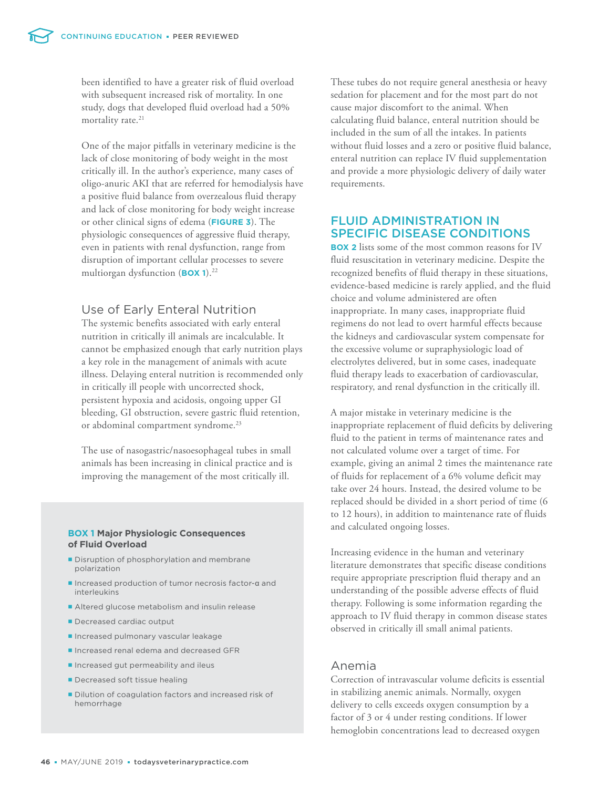been identified to have a greater risk of fluid overload with subsequent increased risk of mortality. In one study, dogs that developed fluid overload had a 50% mortality rate.<sup>21</sup>

One of the major pitfalls in veterinary medicine is the lack of close monitoring of body weight in the most critically ill. In the author's experience, many cases of oligo-anuric AKI that are referred for hemodialysis have a positive fluid balance from overzealous fluid therapy and lack of close monitoring for body weight increase or other clinical signs of edema (**FIGURE 3**). The physiologic consequences of aggressive fluid therapy, even in patients with renal dysfunction, range from disruption of important cellular processes to severe multiorgan dysfunction (**BOX 1**).<sup>22</sup>

# Use of Early Enteral Nutrition

The systemic benefits associated with early enteral nutrition in critically ill animals are incalculable. It cannot be emphasized enough that early nutrition plays a key role in the management of animals with acute illness. Delaying enteral nutrition is recommended only in critically ill people with uncorrected shock, persistent hypoxia and acidosis, ongoing upper GI bleeding, GI obstruction, severe gastric fluid retention, or abdominal compartment syndrome.<sup>23</sup>

The use of nasogastric/nasoesophageal tubes in small animals has been increasing in clinical practice and is improving the management of the most critically ill.

#### **BOX 1 Major Physiologic Consequences of Fluid Overload**

- Disruption of phosphorylation and membrane polarization
- Increased production of tumor necrosis factor-α and interleukins
- Altered glucose metabolism and insulin release
- Decreased cardiac output
- **Increased pulmonary vascular leakage**
- Increased renal edema and decreased GFR
- Increased gut permeability and ileus
- Decreased soft tissue healing
- Dilution of coagulation factors and increased risk of hemorrhage

These tubes do not require general anesthesia or heavy sedation for placement and for the most part do not cause major discomfort to the animal. When calculating fluid balance, enteral nutrition should be included in the sum of all the intakes. In patients without fluid losses and a zero or positive fluid balance, enteral nutrition can replace IV fluid supplementation and provide a more physiologic delivery of daily water requirements.

# FLUID ADMINISTRATION IN SPECIFIC DISEASE CONDITIONS

**BOX 2** lists some of the most common reasons for IV fluid resuscitation in veterinary medicine. Despite the recognized benefits of fluid therapy in these situations, evidence-based medicine is rarely applied, and the fluid choice and volume administered are often inappropriate. In many cases, inappropriate fluid regimens do not lead to overt harmful effects because the kidneys and cardiovascular system compensate for the excessive volume or supraphysiologic load of electrolytes delivered, but in some cases, inadequate fluid therapy leads to exacerbation of cardiovascular, respiratory, and renal dysfunction in the critically ill.

A major mistake in veterinary medicine is the inappropriate replacement of fluid deficits by delivering fluid to the patient in terms of maintenance rates and not calculated volume over a target of time. For example, giving an animal 2 times the maintenance rate of fluids for replacement of a 6% volume deficit may take over 24 hours. Instead, the desired volume to be replaced should be divided in a short period of time (6 to 12 hours), in addition to maintenance rate of fluids and calculated ongoing losses.

Increasing evidence in the human and veterinary literature demonstrates that specific disease conditions require appropriate prescription fluid therapy and an understanding of the possible adverse effects of fluid therapy. Following is some information regarding the approach to IV fluid therapy in common disease states observed in critically ill small animal patients.

## Anemia

Correction of intravascular volume deficits is essential in stabilizing anemic animals. Normally, oxygen delivery to cells exceeds oxygen consumption by a factor of 3 or 4 under resting conditions. If lower hemoglobin concentrations lead to decreased oxygen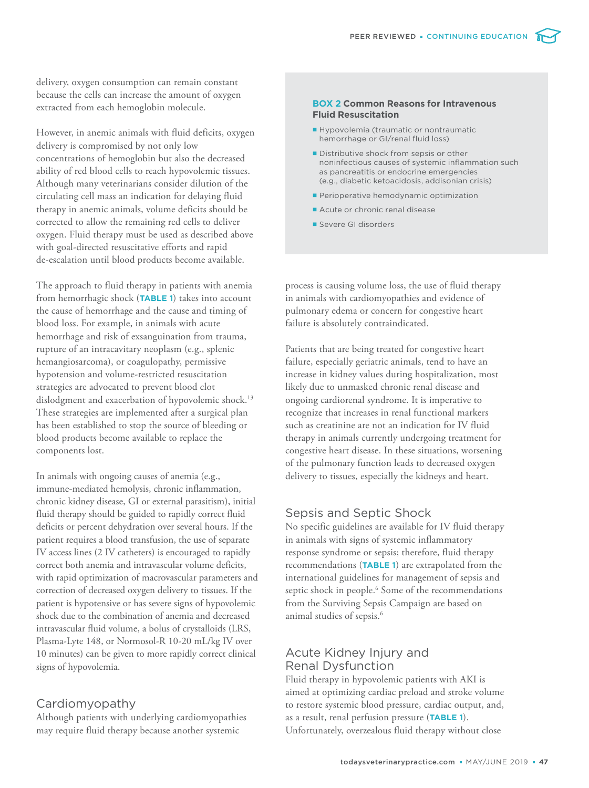delivery, oxygen consumption can remain constant because the cells can increase the amount of oxygen extracted from each hemoglobin molecule.

However, in anemic animals with fluid deficits, oxygen delivery is compromised by not only low concentrations of hemoglobin but also the decreased ability of red blood cells to reach hypovolemic tissues. Although many veterinarians consider dilution of the circulating cell mass an indication for delaying fluid therapy in anemic animals, volume deficits should be corrected to allow the remaining red cells to deliver oxygen. Fluid therapy must be used as described above with goal-directed resuscitative efforts and rapid de-escalation until blood products become available.

The approach to fluid therapy in patients with anemia from hemorrhagic shock (**TABLE 1**) takes into account the cause of hemorrhage and the cause and timing of blood loss. For example, in animals with acute hemorrhage and risk of exsanguination from trauma, rupture of an intracavitary neoplasm (e.g., splenic hemangiosarcoma), or coagulopathy, permissive hypotension and volume-restricted resuscitation strategies are advocated to prevent blood clot dislodgment and exacerbation of hypovolemic shock.<sup>13</sup> These strategies are implemented after a surgical plan has been established to stop the source of bleeding or blood products become available to replace the components lost.

In animals with ongoing causes of anemia (e.g., immune-mediated hemolysis, chronic inflammation, chronic kidney disease, GI or external parasitism), initial fluid therapy should be guided to rapidly correct fluid deficits or percent dehydration over several hours. If the patient requires a blood transfusion, the use of separate IV access lines (2 IV catheters) is encouraged to rapidly correct both anemia and intravascular volume deficits, with rapid optimization of macrovascular parameters and correction of decreased oxygen delivery to tissues. If the patient is hypotensive or has severe signs of hypovolemic shock due to the combination of anemia and decreased intravascular fluid volume, a bolus of crystalloids (LRS, Plasma-Lyte 148, or Normosol-R 10-20 mL/kg IV over 10 minutes) can be given to more rapidly correct clinical signs of hypovolemia.

# Cardiomyopathy

Although patients with underlying cardiomyopathies may require fluid therapy because another systemic

#### **BOX 2 Common Reasons for Intravenous Fluid Resuscitation**

- Hypovolemia (traumatic or nontraumatic hemorrhage or GI/renal fluid loss)
- **Distributive shock from sepsis or other** noninfectious causes of systemic inflammation such as pancreatitis or endocrine emergencies (e.g., diabetic ketoacidosis, addisonian crisis)
- **Perioperative hemodynamic optimization**
- Acute or chronic renal disease
- Severe GI disorders

process is causing volume loss, the use of fluid therapy in animals with cardiomyopathies and evidence of pulmonary edema or concern for congestive heart failure is absolutely contraindicated.

Patients that are being treated for congestive heart failure, especially geriatric animals, tend to have an increase in kidney values during hospitalization, most likely due to unmasked chronic renal disease and ongoing cardiorenal syndrome. It is imperative to recognize that increases in renal functional markers such as creatinine are not an indication for IV fluid therapy in animals currently undergoing treatment for congestive heart disease. In these situations, worsening of the pulmonary function leads to decreased oxygen delivery to tissues, especially the kidneys and heart.

### Sepsis and Septic Shock

No specific guidelines are available for IV fluid therapy in animals with signs of systemic inflammatory response syndrome or sepsis; therefore, fluid therapy recommendations (**TABLE 1**) are extrapolated from the international guidelines for management of sepsis and septic shock in people.<sup>6</sup> Some of the recommendations from the Surviving Sepsis Campaign are based on animal studies of sepsis.<sup>6</sup>

# Acute Kidney Injury and Renal Dysfunction

Fluid therapy in hypovolemic patients with AKI is aimed at optimizing cardiac preload and stroke volume to restore systemic blood pressure, cardiac output, and, as a result, renal perfusion pressure (**TABLE 1**). Unfortunately, overzealous fluid therapy without close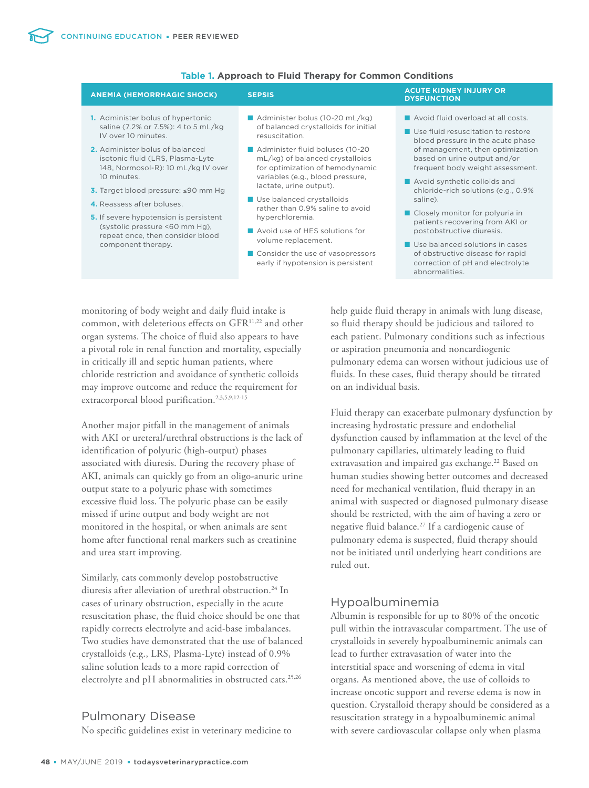| <b>ANEMIA (HEMORRHAGIC SHOCK)</b>                                                                                                                                                                                                                                                                                                                                                                                                                    | <b>SEPSIS</b>                                                                                                                                                                                                                                                                                                                                                                                                                                                                             | <b>ACUTE KIDNEY INJURY OR</b><br><b>DYSFUNCTION</b>                                                                                                                                                                                                                                                                                                                                                                                                                                                                                        |
|------------------------------------------------------------------------------------------------------------------------------------------------------------------------------------------------------------------------------------------------------------------------------------------------------------------------------------------------------------------------------------------------------------------------------------------------------|-------------------------------------------------------------------------------------------------------------------------------------------------------------------------------------------------------------------------------------------------------------------------------------------------------------------------------------------------------------------------------------------------------------------------------------------------------------------------------------------|--------------------------------------------------------------------------------------------------------------------------------------------------------------------------------------------------------------------------------------------------------------------------------------------------------------------------------------------------------------------------------------------------------------------------------------------------------------------------------------------------------------------------------------------|
| <b>1.</b> Administer bolus of hypertonic<br>saline (7.2% or 7.5%): 4 to 5 mL/kg<br>IV over 10 minutes.<br>2. Administer bolus of balanced<br>isotonic fluid (LRS, Plasma-Lyte<br>148, Normosol-R): 10 mL/kg IV over<br>10 minutes.<br>3. Target blood pressure: ≤90 mm Hg<br>4. Reassess after boluses.<br><b>5.</b> If severe hypotension is persistent<br>(systolic pressure <60 mm Hg).<br>repeat once, then consider blood<br>component therapy. | Administer bolus (10-20 mL/kg)<br>of balanced crystalloids for initial<br>resuscitation.<br>Administer fluid boluses (10-20<br>mL/kg) of balanced crystalloids<br>for optimization of hemodynamic<br>variables (e.g., blood pressure,<br>lactate, urine output).<br>Use balanced crystalloids<br>rather than 0.9% saline to avoid<br>hyperchloremia.<br>Avoid use of HES solutions for<br>volume replacement.<br>■ Consider the use of vasopressors<br>early if hypotension is persistent | Avoid fluid overload at all costs.<br>Use fluid resuscitation to restore<br>blood pressure in the acute phase<br>of management, then optimization<br>based on urine output and/or<br>frequent body weight assessment.<br>Avoid synthetic colloids and<br>chloride-rich solutions (e.g., 0.9%<br>saline).<br>■ Closely monitor for polyuria in<br>patients recovering from AKI or<br>postobstructive diuresis.<br>Use balanced solutions in cases<br>of obstructive disease for rapid<br>correction of pH and electrolyte<br>abnormalities. |

#### **Table 1. Approach to Fluid Therapy for Common Conditions**

monitoring of body weight and daily fluid intake is common, with deleterious effects on GFR<sup>11,22</sup> and other organ systems. The choice of fluid also appears to have a pivotal role in renal function and mortality, especially in critically ill and septic human patients, where chloride restriction and avoidance of synthetic colloids may improve outcome and reduce the requirement for extracorporeal blood purification.<sup>2,3,5,9,12-15</sup>

Another major pitfall in the management of animals with AKI or ureteral/urethral obstructions is the lack of identification of polyuric (high-output) phases associated with diuresis. During the recovery phase of AKI, animals can quickly go from an oligo-anuric urine output state to a polyuric phase with sometimes excessive fluid loss. The polyuric phase can be easily missed if urine output and body weight are not monitored in the hospital, or when animals are sent home after functional renal markers such as creatinine and urea start improving.

Similarly, cats commonly develop postobstructive diuresis after alleviation of urethral obstruction.<sup>24</sup> In cases of urinary obstruction, especially in the acute resuscitation phase, the fluid choice should be one that rapidly corrects electrolyte and acid-base imbalances. Two studies have demonstrated that the use of balanced crystalloids (e.g., LRS, Plasma-Lyte) instead of 0.9% saline solution leads to a more rapid correction of electrolyte and pH abnormalities in obstructed cats.<sup>25,26</sup>

# Pulmonary Disease

No specific guidelines exist in veterinary medicine to

help guide fluid therapy in animals with lung disease, so fluid therapy should be judicious and tailored to each patient. Pulmonary conditions such as infectious or aspiration pneumonia and noncardiogenic pulmonary edema can worsen without judicious use of fluids. In these cases, fluid therapy should be titrated on an individual basis.

Fluid therapy can exacerbate pulmonary dysfunction by increasing hydrostatic pressure and endothelial dysfunction caused by inflammation at the level of the pulmonary capillaries, ultimately leading to fluid extravasation and impaired gas exchange.<sup>22</sup> Based on human studies showing better outcomes and decreased need for mechanical ventilation, fluid therapy in an animal with suspected or diagnosed pulmonary disease should be restricted, with the aim of having a zero or negative fluid balance.<sup>27</sup> If a cardiogenic cause of pulmonary edema is suspected, fluid therapy should not be initiated until underlying heart conditions are ruled out.

# Hypoalbuminemia

Albumin is responsible for up to 80% of the oncotic pull within the intravascular compartment. The use of crystalloids in severely hypoalbuminemic animals can lead to further extravasation of water into the interstitial space and worsening of edema in vital organs. As mentioned above, the use of colloids to increase oncotic support and reverse edema is now in question. Crystalloid therapy should be considered as a resuscitation strategy in a hypoalbuminemic animal with severe cardiovascular collapse only when plasma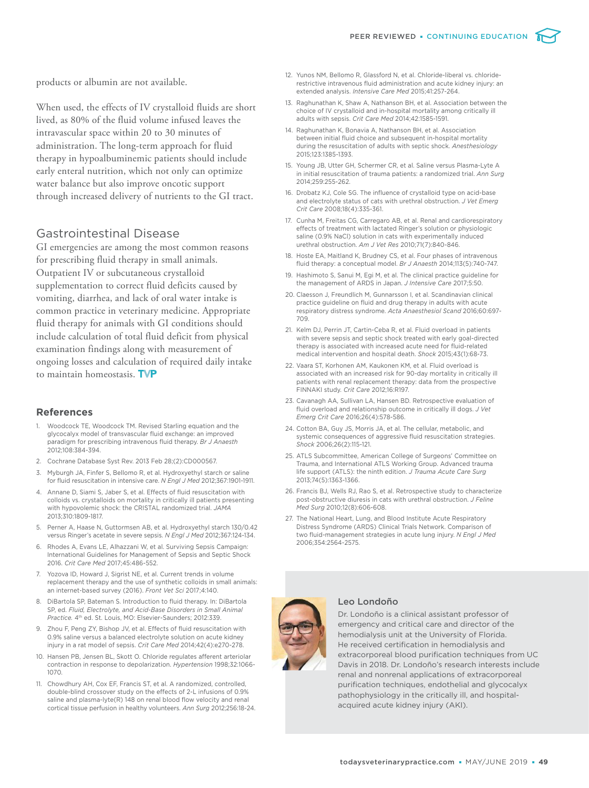

When used, the effects of IV crystalloid fluids are short lived, as 80% of the fluid volume infused leaves the intravascular space within 20 to 30 minutes of administration. The long-term approach for fluid therapy in hypoalbuminemic patients should include early enteral nutrition, which not only can optimize water balance but also improve oncotic support through increased delivery of nutrients to the GI tract.

# Gastrointestinal Disease

GI emergencies are among the most common reasons for prescribing fluid therapy in small animals. Outpatient IV or subcutaneous crystalloid supplementation to correct fluid deficits caused by vomiting, diarrhea, and lack of oral water intake is common practice in veterinary medicine. Appropriate fluid therapy for animals with GI conditions should include calculation of total fluid deficit from physical examination findings along with measurement of ongoing losses and calculation of required daily intake to maintain homeostasis. TVP

#### **References**

- 1. Woodcock TE, Woodcock TM. Revised Starling equation and the glycocalyx model of transvascular fluid exchange: an improved paradigm for prescribing intravenous fluid therapy. *Br J Anaesth*  2012;108:384-394.
- 2. Cochrane Database Syst Rev. 2013 Feb 28;(2):CD000567.
- Myburgh JA, Finfer S, Bellomo R, et al. Hydroxyethyl starch or saline for fluid resuscitation in intensive care. *N Engl J Med* 2012;367:1901-1911.
- 4. Annane D, Siami S, Jaber S, et al. Effects of fluid resuscitation with colloids vs. crystalloids on mortality in critically ill patients presenting with hypovolemic shock: the CRISTAL randomized trial. *JAMA* 2013;310:1809-1817.
- 5. Perner A, Haase N, Guttormsen AB, et al. Hydroxyethyl starch 130/0.42 versus Ringer's acetate in severe sepsis. *N Engl J Med* 2012;367:124-134.
- 6. Rhodes A, Evans LE, Alhazzani W, et al. Surviving Sepsis Campaign: International Guidelines for Management of Sepsis and Septic Shock 2016. *Crit Care Med* 2017;45:486-552.
- 7. Yozova ID, Howard J, Sigrist NE, et al. Current trends in volume replacement therapy and the use of synthetic colloids in small animals: an internet-based survey (2016). *Front Vet Sci* 2017;4:140.
- 8. DiBartola SP, Bateman S. Introduction to fluid therapy. In: DiBartola SP, ed. *Fluid, Electrolyte, and Acid-Base Disorders in Small Animal*  Practice. 4<sup>th</sup> ed. St. Louis, MO: Elsevier-Saunders; 2012:339.
- 9. Zhou F, Peng ZY, Bishop JV, et al. Effects of fluid resuscitation with 0.9% saline versus a balanced electrolyte solution on acute kidney injury in a rat model of sepsis. *Crit Care Med* 2014;42(4):e270-278.
- 10. Hansen PB, Jensen BL, Skott O. Chloride regulates afferent arteriolar contraction in response to depolarization. *Hypertension* 1998;32:1066- 1070.
- 11. Chowdhury AH, Cox EF, Francis ST, et al. A randomized, controlled, double-blind crossover study on the effects of 2-L infusions of 0.9% saline and plasma-lyte(R) 148 on renal blood flow velocity and renal cortical tissue perfusion in healthy volunteers. *Ann Surg* 2012;256:18-24.
- 12. Yunos NM, Bellomo R, Glassford N, et al. Chloride-liberal vs. chloriderestrictive intravenous fluid administration and acute kidney injury: an extended analysis. *Intensive Care Med* 2015;41:257-264.
- 13. Raghunathan K, Shaw A, Nathanson BH, et al. Association between the choice of IV crystalloid and in-hospital mortality among critically ill adults with sepsis. *Crit Care Med* 2014;42:1585-1591.
- 14. Raghunathan K, Bonavia A, Nathanson BH, et al. Association between initial fluid choice and subsequent in-hospital mortality during the resuscitation of adults with septic shock. *Anesthesiology* 2015;123:1385-1393.
- 15. Young JB, Utter GH, Schermer CR, et al. Saline versus Plasma-Lyte A in initial resuscitation of trauma patients: a randomized trial. *Ann Surg*  2014;259:255-262.
- 16. Drobatz KJ, Cole SG. The influence of crystalloid type on acid-base and electrolyte status of cats with urethral obstruction. *J Vet Emerg Crit Care* 2008;18(4):335-361.
- 17. Cunha M, Freitas CG, Carregaro AB, et al. Renal and cardiorespiratory effects of treatment with lactated Ringer's solution or physiologic saline (0.9% NaCl) solution in cats with experimentally induced urethral obstruction. *Am J Vet Res* 2010;71(7):840-846.
- 18. Hoste EA, Maitland K, Brudney CS, et al. Four phases of intravenous fluid therapy: a conceptual model. *Br J Anaesth* 2014;113(5):740-747.
- 19. Hashimoto S, Sanui M, Egi M, et al. The clinical practice guideline for the management of ARDS in Japan. *J Intensive Care* 2017;5:50.
- 20. Claesson J, Freundlich M, Gunnarsson I, et al. Scandinavian clinical practice guideline on fluid and drug therapy in adults with acute respiratory distress syndrome. *Acta Anaesthesiol Scand* 2016;60:697- 709.
- 21. Kelm DJ, Perrin JT, Cartin-Ceba R, et al. Fluid overload in patients with severe sepsis and septic shock treated with early goal-directed therapy is associated with increased acute need for fluid-related medical intervention and hospital death. *Shock* 2015;43(1):68-73.
- 22. Vaara ST, Korhonen AM, Kaukonen KM, et al. Fluid overload is associated with an increased risk for 90-day mortality in critically ill patients with renal replacement therapy: data from the prospective FINNAKI study. *Crit Care* 2012;16:R197.
- 23. Cavanagh AA, Sullivan LA, Hansen BD. Retrospective evaluation of fluid overload and relationship outcome in critically ill dogs. *J Vet Emerg Crit Care* 2016;26(4):578-586.
- 24. Cotton BA, Guy JS, Morris JA, et al. The cellular, metabolic, and systemic consequences of aggressive fluid resuscitation strategies. *Shock* 2006;26(2):115-121.
- 25. ATLS Subcommittee, American College of Surgeons' Committee on Trauma, and International ATLS Working Group. Advanced trauma life support (ATLS): the ninth edition. *J Trauma Acute Care Surg* 2013;74(5):1363-1366.
- 26. Francis BJ, Wells RJ, Rao S, et al. Retrospective study to characterize post-obstructive diuresis in cats with urethral obstruction. *J Feline Med Surg* 2010;12(8):606-608.
- 27. The National Heart, Lung, and Blood Institute Acute Respiratory Distress Syndrome (ARDS) Clinical Trials Network. Comparison of two fluid-management strategies in acute lung injury. *N Engl J Med*  2006;354:2564-2575.



#### Leo Londoño

Dr. Londoño is a clinical assistant professor of emergency and critical care and director of the hemodialysis unit at the University of Florida. He received certification in hemodialysis and extracorporeal blood purification techniques from UC Davis in 2018. Dr. Londoño's research interests include renal and nonrenal applications of extracorporeal purification techniques, endothelial and glycocalyx pathophysiology in the critically ill, and hospitalacquired acute kidney injury (AKI).